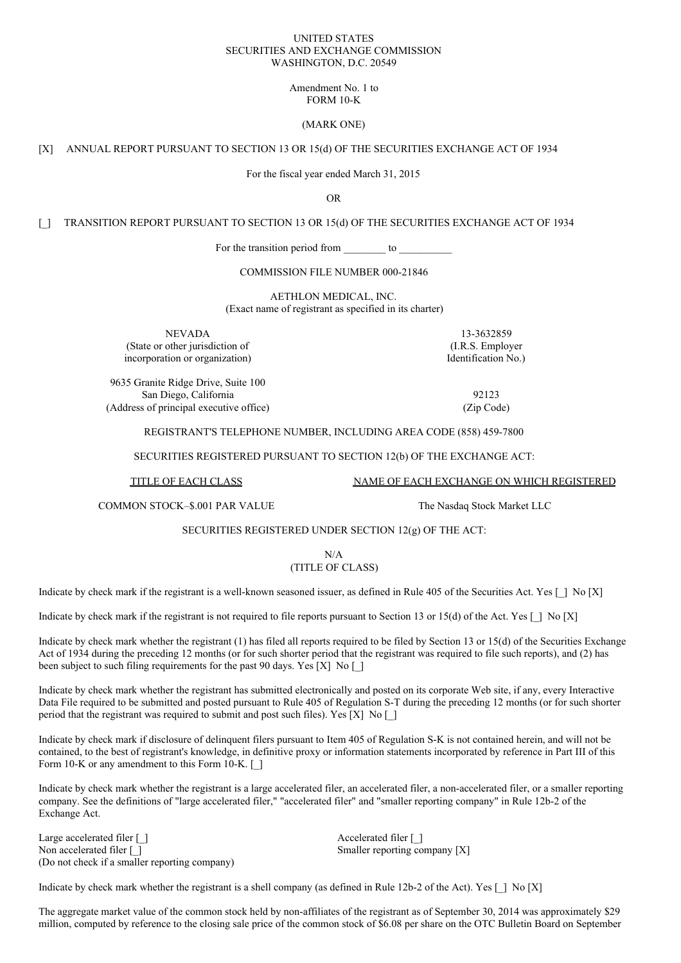#### UNITED STATES SECURITIES AND EXCHANGE COMMISSION WASHINGTON, D.C. 20549

## Amendment No. 1 to FORM 10-K

### (MARK ONE)

### [X] ANNUAL REPORT PURSUANT TO SECTION 13 OR 15(d) OF THE SECURITIES EXCHANGE ACT OF 1934

For the fiscal year ended March 31, 2015

OR

[ ] TRANSITION REPORT PURSUANT TO SECTION 13 OR 15(d) OF THE SECURITIES EXCHANGE ACT OF 1934

For the transition period from \_\_\_\_\_\_\_\_ to \_\_\_\_\_\_\_\_\_

COMMISSION FILE NUMBER 000-21846

AETHLON MEDICAL, INC. (Exact name of registrant as specified in its charter)

NEVADA 13-3632859 (State or other jurisdiction of (I.R.S. Employer incorporation or organization) incorporation No.

9635 Granite Ridge Drive, Suite 100 San Diego, California 92123 (Address of principal executive office) (Zip Code)

#### REGISTRANT'S TELEPHONE NUMBER, INCLUDING AREA CODE (858) 459-7800

SECURITIES REGISTERED PURSUANT TO SECTION 12(b) OF THE EXCHANGE ACT:

TITLE OF EACH CLASS

NAME OF EACH EXCHANGE ON WHICH REGISTERED The Nasdaq Stock Market LLC

COMMON STOCK–\$.001 PAR VALUE

SECURITIES REGISTERED UNDER SECTION 12(g) OF THE ACT:

## N/A (TITLE OF CLASS)

Indicate by check mark if the registrant is a well-known seasoned issuer, as defined in Rule 405 of the Securities Act. Yes  $[ \ ]$  No  $[X]$ 

Indicate by check mark if the registrant is not required to file reports pursuant to Section 13 or 15(d) of the Act. Yes  $\lceil \cdot \rceil$  No  $\lceil X \rceil$ 

Indicate by check mark whether the registrant (1) has filed all reports required to be filed by Section 13 or 15(d) of the Securities Exchange Act of 1934 during the preceding 12 months (or for such shorter period that the registrant was required to file such reports), and (2) has been subject to such filing requirements for the past 90 days. Yes [X] No []

Indicate by check mark whether the registrant has submitted electronically and posted on its corporate Web site, if any, every Interactive Data File required to be submitted and posted pursuant to Rule 405 of Regulation S-T during the preceding 12 months (or for such shorter period that the registrant was required to submit and post such files). Yes  $[X]$  No  $[$ ]

Indicate by check mark if disclosure of delinquent filers pursuant to Item 405 of Regulation S-K is not contained herein, and will not be contained, to the best of registrant's knowledge, in definitive proxy or information statements incorporated by reference in Part III of this Form 10-K or any amendment to this Form 10-K. [ ]

Indicate by check mark whether the registrant is a large accelerated filer, an accelerated filer, a non-accelerated filer, or a smaller reporting company. See the definitions of "large accelerated filer," "accelerated filer" and "smaller reporting company" in Rule 12b-2 of the Exchange Act.

Large accelerated filer [ ] Accelerated filer [ ] Non accelerated filer [ ] Smaller reporting company [X] (Do not check if a smaller reporting company)

Indicate by check mark whether the registrant is a shell company (as defined in Rule 12b-2 of the Act). Yes  $[$   $]$  No  $[X]$ 

The aggregate market value of the common stock held by non-affiliates of the registrant as of September 30, 2014 was approximately \$29 million, computed by reference to the closing sale price of the common stock of \$6.08 per share on the OTC Bulletin Board on September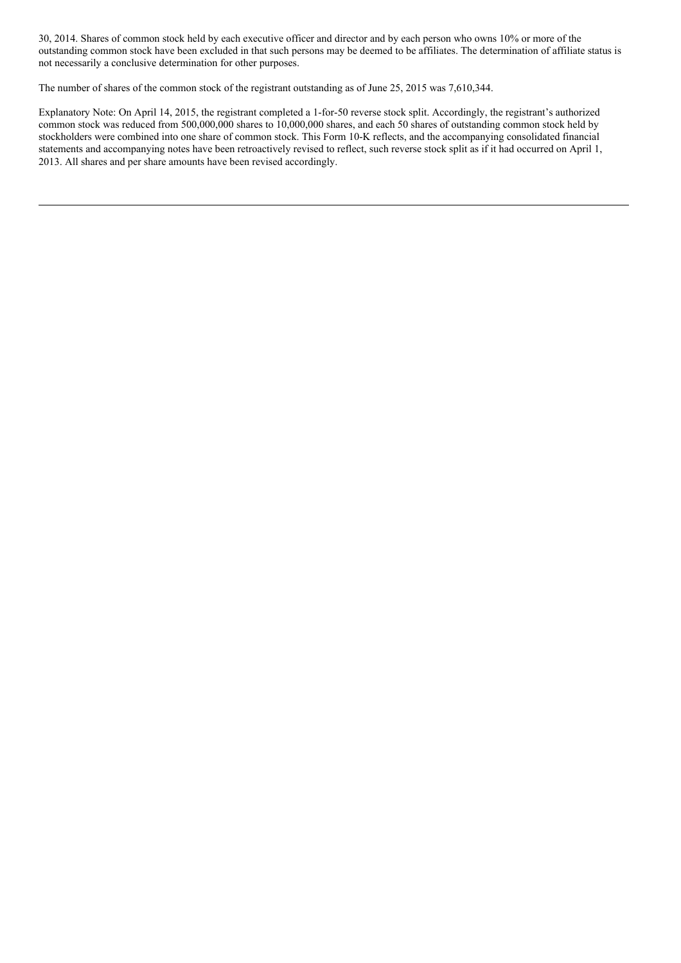30, 2014. Shares of common stock held by each executive officer and director and by each person who owns 10% or more of the outstanding common stock have been excluded in that such persons may be deemed to be affiliates. The determination of affiliate status is not necessarily a conclusive determination for other purposes.

The number of shares of the common stock of the registrant outstanding as of June 25, 2015 was 7,610,344.

Explanatory Note: On April 14, 2015, the registrant completed a 1-for-50 reverse stock split. Accordingly, the registrant's authorized common stock was reduced from 500,000,000 shares to 10,000,000 shares, and each 50 shares of outstanding common stock held by stockholders were combined into one share of common stock. This Form 10-K reflects, and the accompanying consolidated financial statements and accompanying notes have been retroactively revised to reflect, such reverse stock split as if it had occurred on April 1, 2013. All shares and per share amounts have been revised accordingly.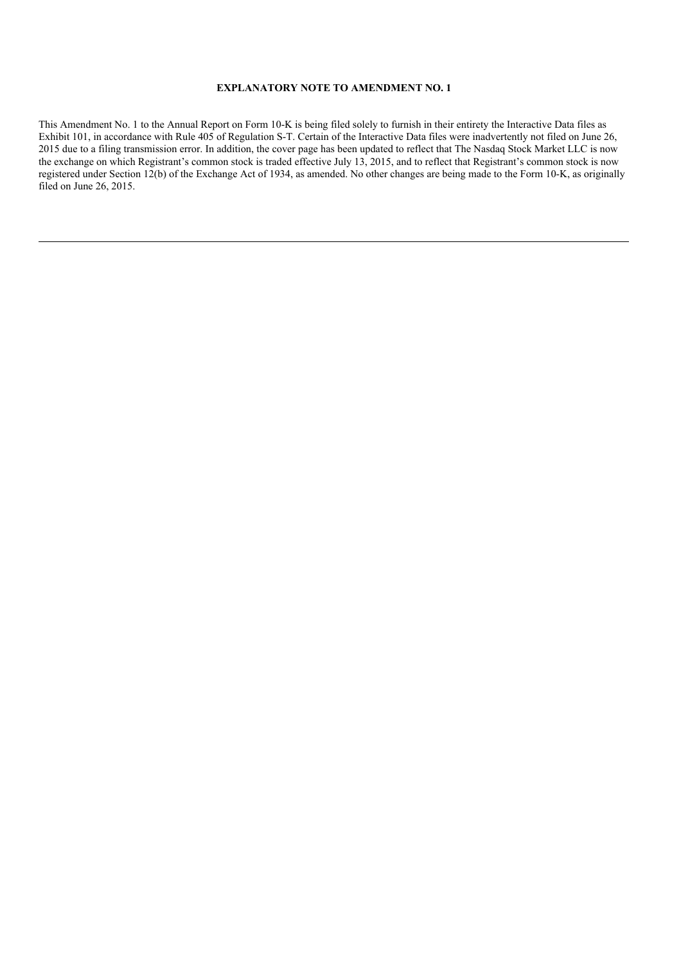# **EXPLANATORY NOTE TO AMENDMENT NO. 1**

This Amendment No. 1 to the Annual Report on Form 10-K is being filed solely to furnish in their entirety the Interactive Data files as Exhibit 101, in accordance with Rule 405 of Regulation S-T. Certain of the Interactive Data files were inadvertently not filed on June 26, 2015 due to a filing transmission error. In addition, the cover page has been updated to reflect that The Nasdaq Stock Market LLC is now the exchange on which Registrant's common stock is traded effective July 13, 2015, and to reflect that Registrant's common stock is now registered under Section 12(b) of the Exchange Act of 1934, as amended. No other changes are being made to the Form 10-K, as originally filed on June 26, 2015.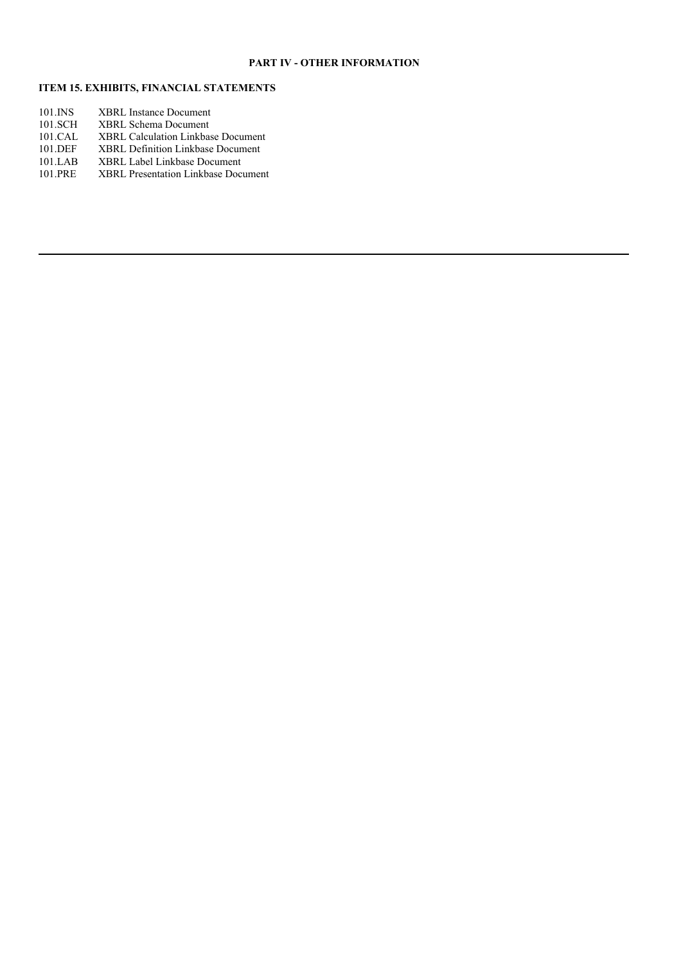# **PART IV - OTHER INFORMATION**

# **ITEM 15. EXHIBITS, FINANCIAL STATEMENTS**

| 101.INS | <b>XBRL Instance Document</b>            |
|---------|------------------------------------------|
| 101.SCH | <b>XBRL Schema Document</b>              |
| 101.CAL | XBRL Calculation Linkbase Document       |
| 101.DEF | <b>XBRL Definition Linkbase Document</b> |
| 101.LAB | <b>XBRL Label Linkbase Document</b>      |
| 101.PRE | XBRL Presentation Linkbase Document      |